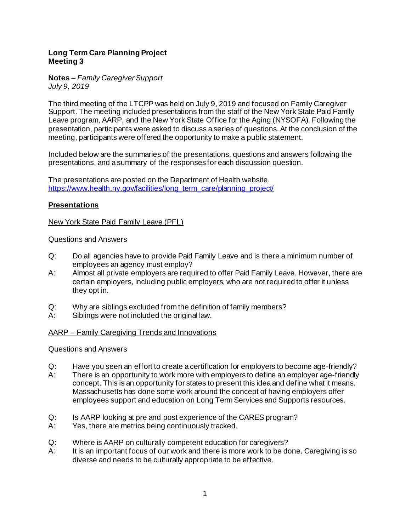## **Long Term Care Planning Project Meeting 3**

**Notes** *– Family Caregiver Support July 9, 2019*

The third meeting of the LTCPP was held on July 9, 2019 and focused on Family Caregiver Support. The meeting included presentations from the staff of the New York State Paid Family Leave program, AARP, and the New York State Office for the Aging (NYSOFA). Following the presentation, participants were asked to discuss a series of questions. At the conclusion of the meeting, participants were offered the opportunity to make a public statement.

Included below are the summaries of the presentations, questions and answers following the presentations, and a summary of the responses for each discussion question.

The presentations are posted on the Department of Health website. [https://www.health.ny.gov/facilities/long\\_term\\_care/planning\\_project/](https://www.health.ny.gov/facilities/long_term_care/planning_project/)

## **Presentations**

New York State Paid Family Leave (PFL)

Questions and Answers

- Q: Do all agencies have to provide Paid Family Leave and is there a minimum number of employees an agency must employ?
- A: Almost all private employers are required to offer Paid Family Leave. However, there are certain employers, including public employers, who are not required to offer it unless they opt in.
- Q: Why are siblings excluded from the definition of family members?
- A: Siblings were not included the original law.

## AARP – Family Caregiving Trends and Innovations

Questions and Answers

- Q: Have you seen an effort to create a certification for employers to become age-friendly?
- A: There is an opportunity to work more with employers to define an employer age-friendly concept. This is an opportunity for states to present this idea and define what it means. Massachusetts has done some work around the concept of having employers offer employees support and education on Long Term Services and Supports resources.
- Q: Is AARP looking at pre and post experience of the CARES program?
- A: Yes, there are metrics being continuously tracked.
- Q: Where is AARP on culturally competent education for caregivers?
- A: It is an important focus of our work and there is more work to be done. Caregiving is so diverse and needs to be culturally appropriate to be effective.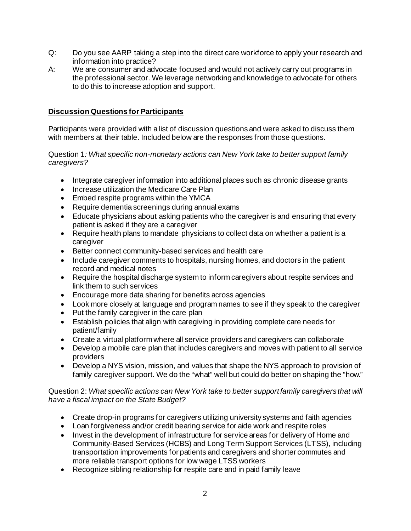- Q: Do you see AARP taking a step into the direct care workforce to apply your research and information into practice?
- A: We are consumer and advocate focused and would not actively carry out programs in the professional sector. We leverage networking and knowledge to advocate for others to do this to increase adoption and support.

# **Discussion Questions for Participants**

Participants were provided with a list of discussion questions and were asked to discuss them with members at their table. Included below are the responses from those questions.

Question 1*: What specific non-monetary actions can New York take to better support family caregivers?* 

- Integrate caregiver information into additional places such as chronic disease grants
- Increase utilization the Medicare Care Plan
- Embed respite programs within the YMCA
- Require dementia screenings during annual exams
- Educate physicians about asking patients who the caregiver is and ensuring that every patient is asked if they are a caregiver
- Require health plans to mandate physicians to collect data on whether a patient is a caregiver
- Better connect community-based services and health care
- Include caregiver comments to hospitals, nursing homes, and doctors in the patient record and medical notes
- Require the hospital discharge system to inform caregivers about respite services and link them to such services
- Encourage more data sharing for benefits across agencies
- Look more closely at language and program names to see if they speak to the caregiver
- Put the family caregiver in the care plan
- Establish policies that align with caregiving in providing complete care needs for patient/family
- Create a virtual platform where all service providers and caregivers can collaborate
- Develop a mobile care plan that includes caregivers and moves with patient to all service providers
- Develop a NYS vision, mission, and values that shape the NYS approach to provision of family caregiver support. We do the "what" well but could do better on shaping the "how."

## Question 2: *What specific actions can New York take to better support family caregivers that will have a fiscal impact on the State Budget?*

- Create drop-in programs for caregivers utilizing university systems and faith agencies
- Loan forgiveness and/or credit bearing service for aide work and respite roles
- Invest in the development of infrastructure for service areas for delivery of Home and Community-Based Services (HCBS) and Long Term Support Services (LTSS), including transportation improvements for patients and caregivers and shorter commutes and more reliable transport options for low wage LTSS workers
- Recognize sibling relationship for respite care and in paid family leave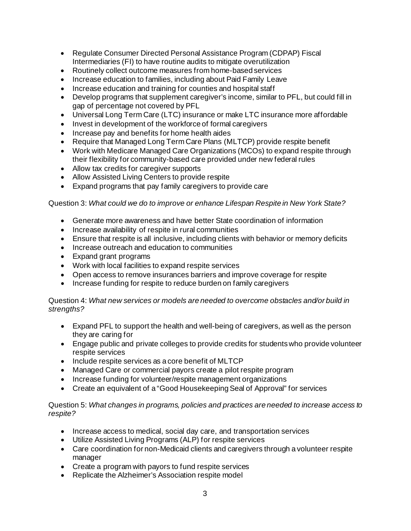- Regulate Consumer Directed Personal Assistance Program (CDPAP) Fiscal Intermediaries (FI) to have routine audits to mitigate overutilization
- Routinely collect outcome measures from home-based services
- Increase education to families, including about Paid Family Leave
- Increase education and training for counties and hospital staff
- Develop programs that supplement caregiver's income, similar to PFL, but could fill in gap of percentage not covered by PFL
- Universal Long Term Care (LTC) insurance or make LTC insurance more affordable
- Invest in development of the workforce of formal caregivers
- Increase pay and benefits for home health aides
- Require that Managed Long Term Care Plans (MLTCP) provide respite benefit
- Work with Medicare Managed Care Organizations (MCOs) to expand respite through their flexibility for community-based care provided under new federal rules
- Allow tax credits for caregiver supports
- Allow Assisted Living Centers to provide respite
- Expand programs that pay family caregivers to provide care

#### Question 3: *What could we do to improve or enhance Lifespan Respite in New York State?*

- Generate more awareness and have better State coordination of information
- Increase availability of respite in rural communities
- Ensure that respite is all inclusive, including clients with behavior or memory deficits
- Increase outreach and education to communities
- Expand grant programs
- Work with local facilities to expand respite services
- Open access to remove insurances barriers and improve coverage for respite
- Increase funding for respite to reduce burden on family caregivers

## Question 4: *What new services or models are needed to overcome obstacles and/or build in strengths?*

- Expand PFL to support the health and well-being of caregivers, as well as the person they are caring for
- Engage public and private colleges to provide credits for students who provide volunteer respite services
- Include respite services as a core benefit of MLTCP
- Managed Care or commercial payors create a pilot respite program
- Increase funding for volunteer/respite management organizations
- Create an equivalent of a "Good Housekeeping Seal of Approval" for services

#### Question 5: *What changes in programs, policies and practices are needed to increase access to respite?*

- Increase access to medical, social day care, and transportation services
- Utilize Assisted Living Programs (ALP) for respite services
- Care coordination for non-Medicaid clients and caregivers through a volunteer respite manager
- Create a program with payors to fund respite services
- Replicate the Alzheimer's Association respite model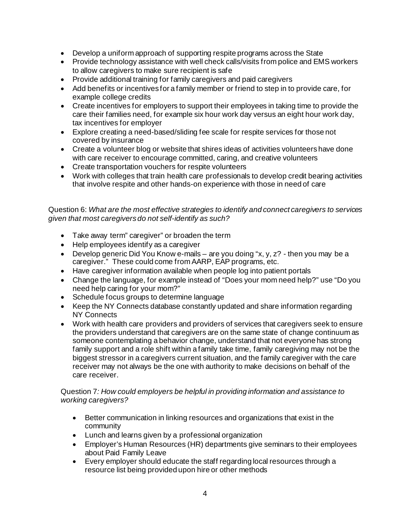- Develop a uniform approach of supporting respite programs across the State
- Provide technology assistance with well check calls/visits from police and EMS workers to allow caregivers to make sure recipient is safe
- Provide additional training for family caregivers and paid caregivers
- Add benefits or incentives for a family member or friend to step in to provide care, for example college credits
- Create incentives for employers to support their employees in taking time to provide the care their families need, for example six hour work day versus an eight hour work day, tax incentives for employer
- Explore creating a need-based/sliding fee scale for respite services for those not covered by insurance
- Create a volunteer blog or website that shires ideas of activities volunteers have done with care receiver to encourage committed, caring, and creative volunteers
- Create transportation vouchers for respite volunteers
- Work with colleges that train health care professionals to develop credit bearing activities that involve respite and other hands-on experience with those in need of care

Question 6: *What are the most effective strategies to identify and connect caregivers to services given that most caregivers do not self-identify as such?*

- Take away term" caregiver" or broaden the term
- Help employees identify as a caregiver
- Develop generic Did You Know e-mails are you doing "x, y, z? then you may be a caregiver." These could come from AARP, EAP programs, etc.
- Have caregiver information available when people log into patient portals
- Change the language, for example instead of "Does your mom need help?" use "Do you need help caring for your mom?"
- Schedule focus groups to determine language
- Keep the NY Connects database constantly updated and share information regarding NY Connects
- Work with health care providers and providers of services that caregivers seek to ensure the providers understand that caregivers are on the same state of change continuum as someone contemplating a behavior change, understand that not everyone has strong family support and a role shift within a family take time, family caregiving may not be the biggest stressor in a caregivers current situation, and the family caregiver with the care receiver may not always be the one with authority to make decisions on behalf of the care receiver.

## Question 7*: How could employers be helpful in providing information and assistance to working caregivers?*

- Better communication in linking resources and organizations that exist in the community
- Lunch and learns given by a professional organization
- Employer's Human Resources (HR) departments give seminars to their employees about Paid Family Leave
- Every employer should educate the staff regarding local resources through a resource list being provided upon hire or other methods